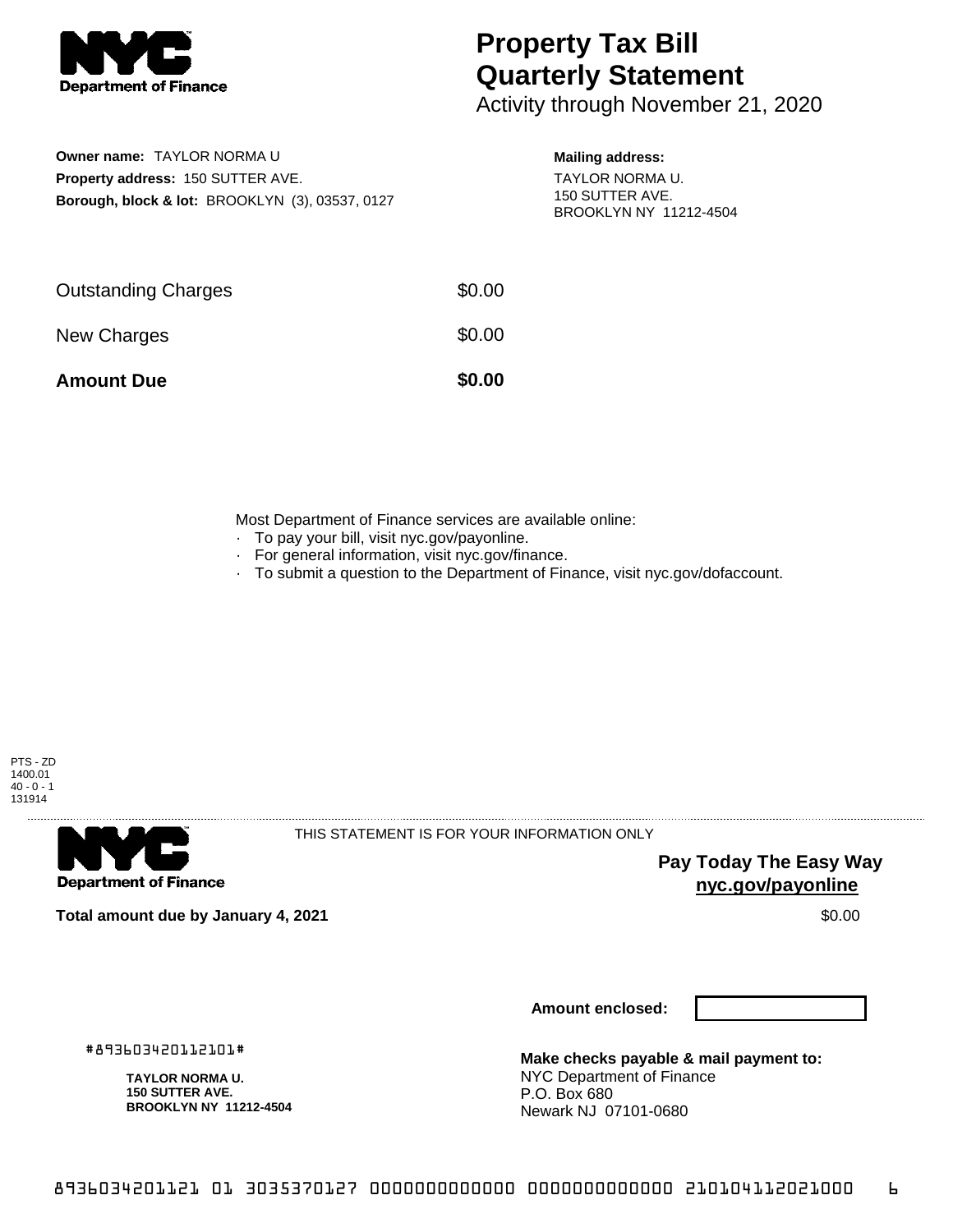

## **Property Tax Bill Quarterly Statement**

Activity through November 21, 2020

**Owner name:** TAYLOR NORMA U **Property address:** 150 SUTTER AVE. **Borough, block & lot:** BROOKLYN (3), 03537, 0127

## **Mailing address:**

TAYLOR NORMA U. 150 SUTTER AVE. BROOKLYN NY 11212-4504

| <b>Amount Due</b>          | \$0.00 |
|----------------------------|--------|
| New Charges                | \$0.00 |
| <b>Outstanding Charges</b> | \$0.00 |

Most Department of Finance services are available online:

- · To pay your bill, visit nyc.gov/payonline.
- For general information, visit nyc.gov/finance.
- · To submit a question to the Department of Finance, visit nyc.gov/dofaccount.



**Department of Finance** 

THIS STATEMENT IS FOR YOUR INFORMATION ONLY

**Pay Today The Easy Way nyc.gov/payonline**

**Total amount due by January 4, 2021** \$0.00

**Amount enclosed:**

#893603420112101#

**TAYLOR NORMA U. 150 SUTTER AVE. BROOKLYN NY 11212-4504**

**Make checks payable & mail payment to:** NYC Department of Finance P.O. Box 680 Newark NJ 07101-0680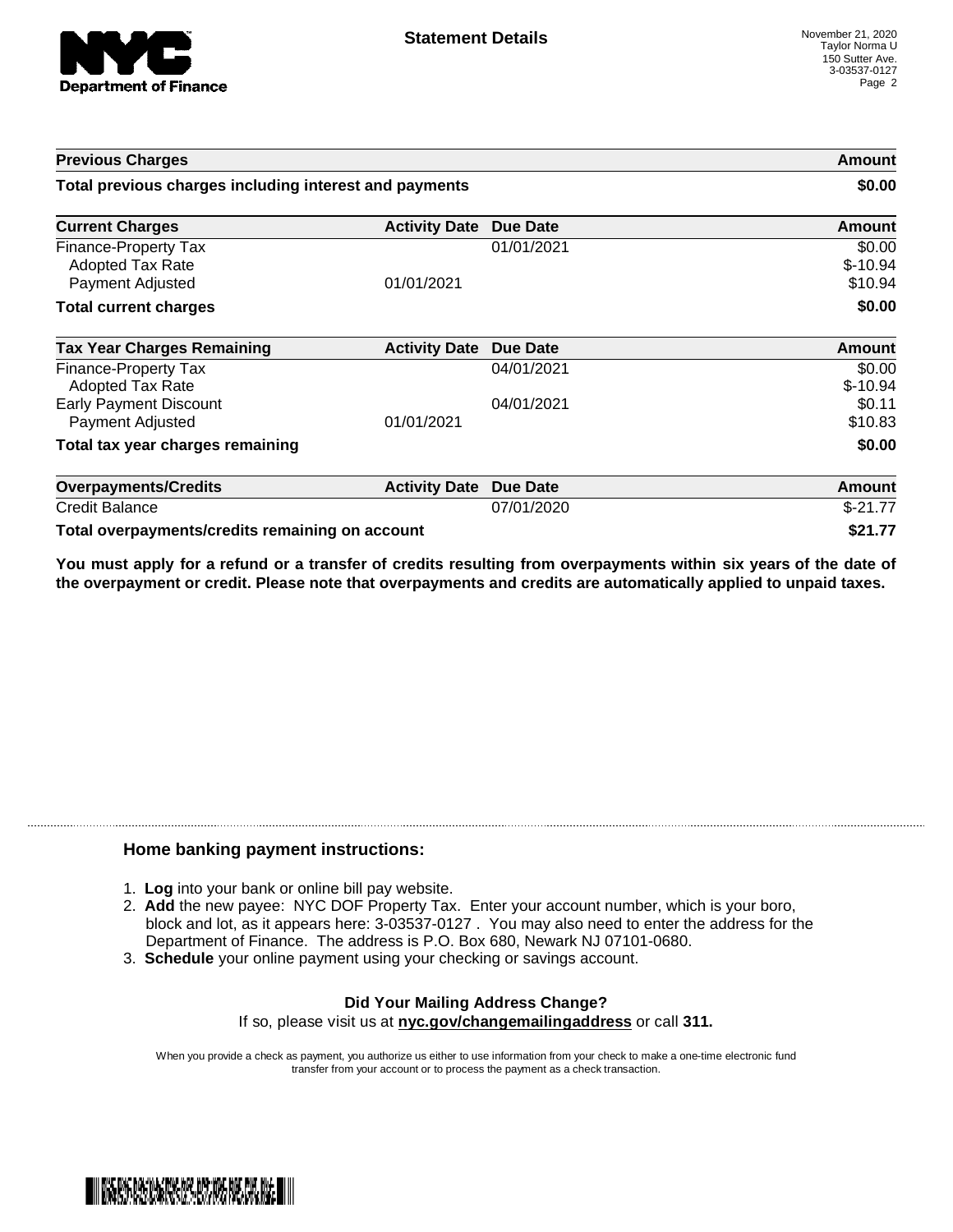

| <b>Previous Charges</b>                                             |                      |                 | Amount                         |
|---------------------------------------------------------------------|----------------------|-----------------|--------------------------------|
| Total previous charges including interest and payments              |                      |                 | \$0.00                         |
| <b>Current Charges</b>                                              | <b>Activity Date</b> | <b>Due Date</b> | Amount                         |
| Finance-Property Tax<br><b>Adopted Tax Rate</b><br>Payment Adjusted | 01/01/2021           | 01/01/2021      | \$0.00<br>$$-10.94$<br>\$10.94 |
| <b>Total current charges</b>                                        |                      |                 | \$0.00                         |
| <b>Tax Year Charges Remaining</b>                                   | <b>Activity Date</b> | <b>Due Date</b> | <b>Amount</b>                  |
| Finance-Property Tax<br>Adopted Tax Rate                            |                      | 04/01/2021      | \$0.00<br>$$-10.94$            |
| <b>Early Payment Discount</b><br>Payment Adjusted                   | 01/01/2021           | 04/01/2021      | \$0.11<br>\$10.83              |
| Total tax year charges remaining                                    |                      |                 | \$0.00                         |
| <b>Overpayments/Credits</b>                                         | <b>Activity Date</b> | <b>Due Date</b> | Amount                         |
| <b>Credit Balance</b>                                               |                      | 07/01/2020      | $$-21.77$                      |
| Total overpayments/credits remaining on account                     |                      |                 | \$21.77                        |

You must apply for a refund or a transfer of credits resulting from overpayments within six years of the date of **the overpayment or credit. Please note that overpayments and credits are automatically applied to unpaid taxes.**

## **Home banking payment instructions:**

- 1. **Log** into your bank or online bill pay website.
- 2. **Add** the new payee: NYC DOF Property Tax. Enter your account number, which is your boro, block and lot, as it appears here: 3-03537-0127 . You may also need to enter the address for the Department of Finance. The address is P.O. Box 680, Newark NJ 07101-0680.
- 3. **Schedule** your online payment using your checking or savings account.

## **Did Your Mailing Address Change?** If so, please visit us at **nyc.gov/changemailingaddress** or call **311.**

When you provide a check as payment, you authorize us either to use information from your check to make a one-time electronic fund transfer from your account or to process the payment as a check transaction.